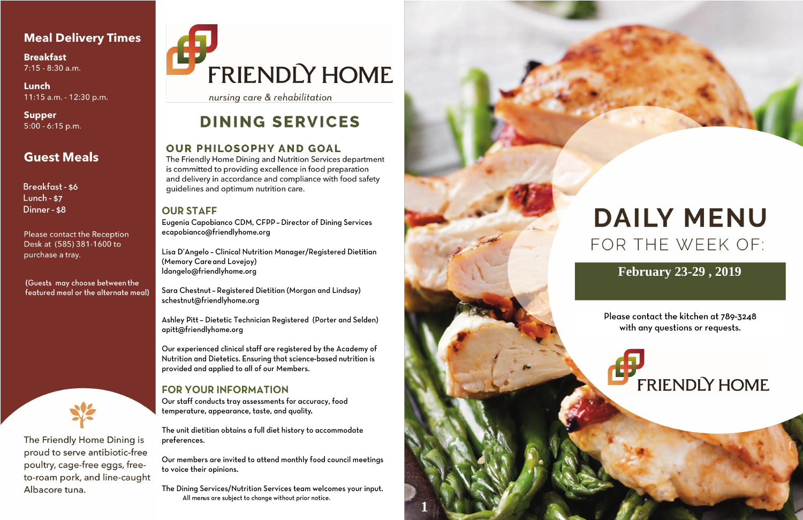### **Meal Delivery Times**

**Breakfast** 7:15 - 8:30 a.m.

Lunch 11:15 a.m. - 12:30 p.m.

**Supper**  $5:00 - 6:15$  p.m.

## **Guest Meals**

**Breakfast - \$6** Lunch -  $$7$ Dinner - \$8

Please contact the Reception Desk at (585) 381-1600 to purchase a tray.

(Guests may choose between the featured meal or the alternate meal)



The Friendly Home Dining is proud to serve antibiotic-free poultry, cage-free eggs, freeto-roam pork, and line-caught Albacore tuna.

# **FRIENDLY HOME**

nursing care & rehabilitation

## **DINING SERVICES**

#### **OUR PHILOSOPHY AND GOAL**

The Friendly Home Dining and Nutrition Services department is committed to providing excellence in food preparation and delivery in accordance and compliance with food safety guidelines and optimum nutrition care.

#### **OUR STAFF**

Eugenia Capobianco CDM, CFPP - Director of Dining Services ecapobianco@friendlyhome.org

Lisa D'Angelo - Clinical Nutrition Manager/Registered Dietitian (Memory Care and Lovejoy) ldangelo@friendlyhome.org

Sara Chestnut - Registered Dietitian (Morgan and Lindsay) schestnut@friendlyhome.org

Ashley Pitt - Dietetic Technician Registered (Porter and Selden) apitt@friendlyhome.org

Our experienced clinical staff are registered by the Academy of Nutrition and Dietetics. Ensuring that science-based nutrition is provided and applied to all of our Members.

### **FOR YOUR INFORMATION**

Our staff conducts tray assessments for accuracy, food temperature, appearance, taste, and quality.

The unit dietitian obtains a full diet history to accommodate preferences.

Our members are invited to attend monthly food council meetings to voice their opinions.

The Dining Services/Nutrition Services team welcomes your input. All menus are subject to change without prior notice.



## **DAILY MENU** FOR THE WEEK OF:

## **February 23-29, 2019**

Please contact the kitchen at 789-3248 with any questions or requests.

## **FRIENDLY HOME**